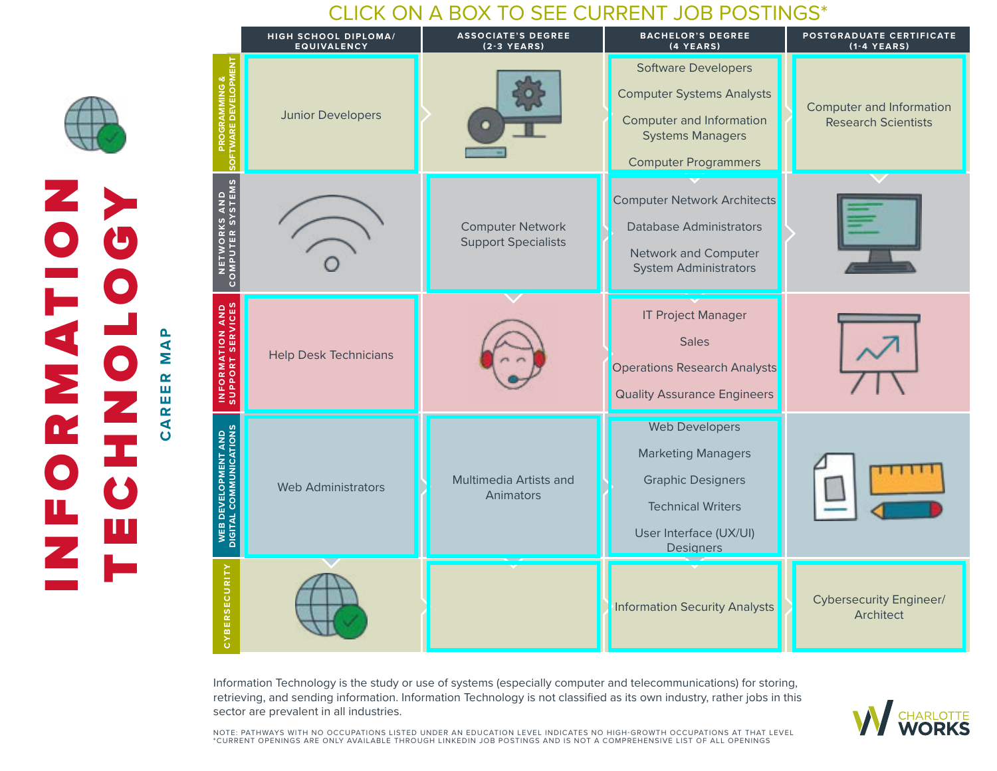## CLICK ON A BOX TO SEE CURRENT JOB POSTINGS\*

|                                                       | HIGH SCHOOL DIPLOMA/<br><b>EQUIVALENCY</b> | <b>ASSOCIATE'S DEGREE</b><br>$(2-3$ YEARS)            | <b>BACHELOR'S DEGREE</b><br>$(4$ YEARS)                                                                                                              | POSTGRADUATE CERTIFICATE<br>$(1-4$ YEARS)                     |
|-------------------------------------------------------|--------------------------------------------|-------------------------------------------------------|------------------------------------------------------------------------------------------------------------------------------------------------------|---------------------------------------------------------------|
| <b>PROGRAMMING &amp;<br/>SOFTWARE DEVELOPMENT</b>     | <b>Junior Developers</b>                   |                                                       | <b>Software Developers</b><br><b>Computer Systems Analysts</b><br>Computer and Information<br><b>Systems Managers</b><br><b>Computer Programmers</b> | <b>Computer and Information</b><br><b>Research Scientists</b> |
| NETWORKS AND<br>COMPUTER SYSTEMS                      |                                            | <b>Computer Network</b><br><b>Support Specialists</b> | <b>Computer Network Architects</b><br><b>Database Administrators</b><br>Network and Computer<br><b>System Administrators</b>                         |                                                               |
| <b>INFORMATION AND</b><br>SUPPORT SERVICES            | <b>Help Desk Technicians</b>               |                                                       | <b>IT Project Manager</b><br><b>Sales</b><br><b>Operations Research Analysts</b><br><b>Quality Assurance Engineers</b>                               |                                                               |
| <b>WEB DEVELOPMENT AND<br/>DIGITAL COMMUNICATIONS</b> | <b>Web Administrators</b>                  | Multimedia Artists and<br>Animators                   | <b>Web Developers</b><br><b>Marketing Managers</b><br><b>Graphic Designers</b><br><b>Technical Writers</b><br>User Interface (UX/UI)<br>Designers    |                                                               |
| CYBERSECURITY                                         |                                            |                                                       | <b>Information Security Analysts</b>                                                                                                                 | <b>Cybersecurity Engineer/</b><br>Architect                   |

Information Technology is the study or use of systems (especially computer and telecommunications) for storing, retrieving, and sending information. Information Technology is not classified as its own industry, rather jobs in this sector are prevalent in all industries.

ZO INTERNET

**EORNAT** 

TECHNOLOGY

**CAREER MAP**

 $\ddot{\mathbf{O}}$ 

**AREER MAP** 



NOTE: PATHWAYS WITH NO OCCUPATIONS LISTED UNDER AN EDUCATION LEVEL INDICATES NO HIGH-GROWTH OCCUPATIONS AT THAT LEVEL<br>\*CURRENT OPENINGS ARE ONLY AVAILABLE THROUGH LINKEDIN JOB POSTINGS AND IS NOT A COMPREHENSIVE LIST OF AL